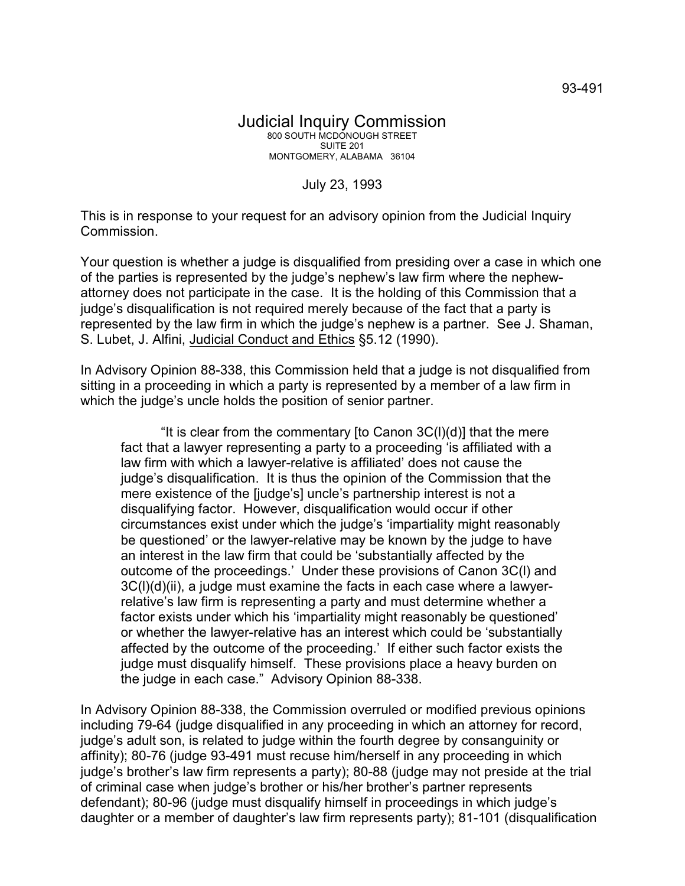## July 23, 1993

This is in response to your request for an advisory opinion from the Judicial Inquiry Commission.

Your question is whether a judge is disqualified from presiding over a case in which one of the parties is represented by the judge's nephew's law firm where the nephewattorney does not participate in the case. It is the holding of this Commission that a judge's disqualification is not required merely because of the fact that a party is represented by the law firm in which the judge's nephew is a partner. See J. Shaman, S. Lubet, J. Alfini, Judicial Conduct and Ethics §5.12 (1990).

In Advisory Opinion 88-338, this Commission held that a judge is not disqualified from sitting in a proceeding in which a party is represented by a member of a law firm in which the judge's uncle holds the position of senior partner.

"It is clear from the commentary [to Canon 3C(l)(d)] that the mere fact that a lawyer representing a party to a proceeding 'is affiliated with a law firm with which a lawyer-relative is affiliated' does not cause the judge's disqualification. It is thus the opinion of the Commission that the mere existence of the [judge's] uncle's partnership interest is not a disqualifying factor. However, disqualification would occur if other circumstances exist under which the judge's 'impartiality might reasonably be questioned' or the lawyer-relative may be known by the judge to have an interest in the law firm that could be 'substantially affected by the outcome of the proceedings.' Under these provisions of Canon 3C(l) and 3C(l)(d)(ii), a judge must examine the facts in each case where a lawyerrelative's law firm is representing a party and must determine whether a factor exists under which his 'impartiality might reasonably be questioned' or whether the lawyer-relative has an interest which could be 'substantially affected by the outcome of the proceeding.' If either such factor exists the judge must disqualify himself. These provisions place a heavy burden on the judge in each case." Advisory Opinion 88-338.

In Advisory Opinion 88-338, the Commission overruled or modified previous opinions including 79-64 (judge disqualified in any proceeding in which an attorney for record, judge's adult son, is related to judge within the fourth degree by consanguinity or affinity); 80-76 (judge 93-491 must recuse him/herself in any proceeding in which judge's brother's law firm represents a party); 80-88 (judge may not preside at the trial of criminal case when judge's brother or his/her brother's partner represents defendant); 80-96 (judge must disqualify himself in proceedings in which judge's daughter or a member of daughter's law firm represents party); 81-101 (disqualification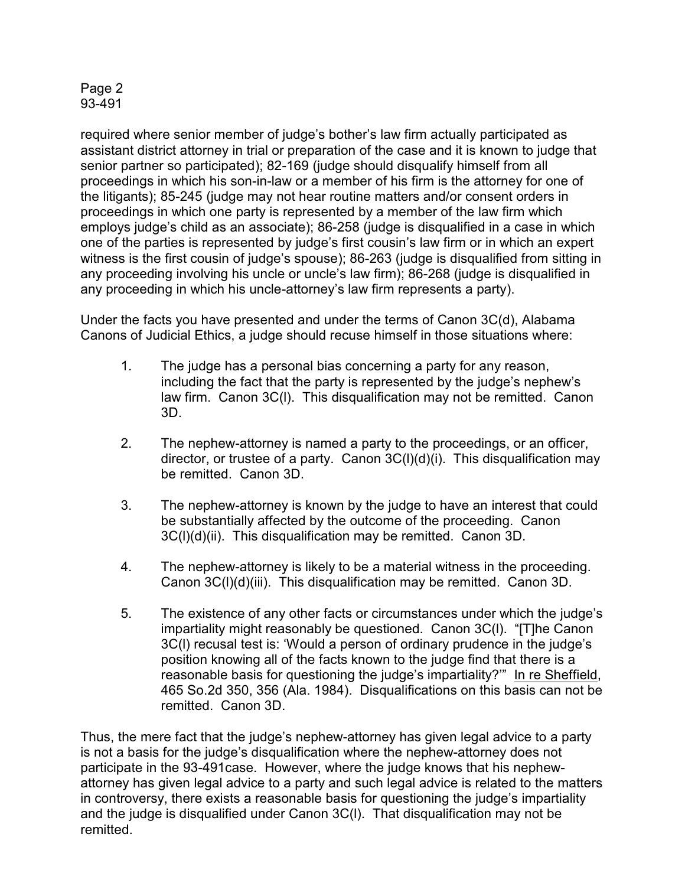## Page 2 93-491

required where senior member of judge's bother's law firm actually participated as assistant district attorney in trial or preparation of the case and it is known to judge that senior partner so participated); 82-169 (judge should disqualify himself from all proceedings in which his son-in-law or a member of his firm is the attorney for one of the litigants); 85-245 (judge may not hear routine matters and/or consent orders in proceedings in which one party is represented by a member of the law firm which employs judge's child as an associate); 86-258 (judge is disqualified in a case in which one of the parties is represented by judge's first cousin's law firm or in which an expert witness is the first cousin of judge's spouse); 86-263 (judge is disqualified from sitting in any proceeding involving his uncle or uncle's law firm); 86-268 (judge is disqualified in any proceeding in which his uncle-attorney's law firm represents a party).

Under the facts you have presented and under the terms of Canon 3C(d), Alabama Canons of Judicial Ethics, a judge should recuse himself in those situations where:

- 1. The judge has a personal bias concerning a party for any reason, including the fact that the party is represented by the judge's nephew's law firm. Canon 3C(l). This disqualification may not be remitted. Canon 3D.
- 2. The nephew-attorney is named a party to the proceedings, or an officer, director, or trustee of a party. Canon 3C(l)(d)(i). This disqualification may be remitted. Canon 3D.
- 3. The nephew-attorney is known by the judge to have an interest that could be substantially affected by the outcome of the proceeding. Canon 3C(l)(d)(ii). This disqualification may be remitted. Canon 3D.
- 4. The nephew-attorney is likely to be a material witness in the proceeding. Canon 3C(l)(d)(iii). This disqualification may be remitted. Canon 3D.
- 5. The existence of any other facts or circumstances under which the judge's impartiality might reasonably be questioned. Canon 3C(l). "[T]he Canon 3C(l) recusal test is: 'Would a person of ordinary prudence in the judge's position knowing all of the facts known to the judge find that there is a reasonable basis for questioning the judge's impartiality?'" In re Sheffield, 465 So.2d 350, 356 (Ala. 1984). Disqualifications on this basis can not be remitted. Canon 3D.

Thus, the mere fact that the judge's nephew-attorney has given legal advice to a party is not a basis for the judge's disqualification where the nephew-attorney does not participate in the 93-491case. However, where the judge knows that his nephewattorney has given legal advice to a party and such legal advice is related to the matters in controversy, there exists a reasonable basis for questioning the judge's impartiality and the judge is disqualified under Canon 3C(l). That disqualification may not be remitted.